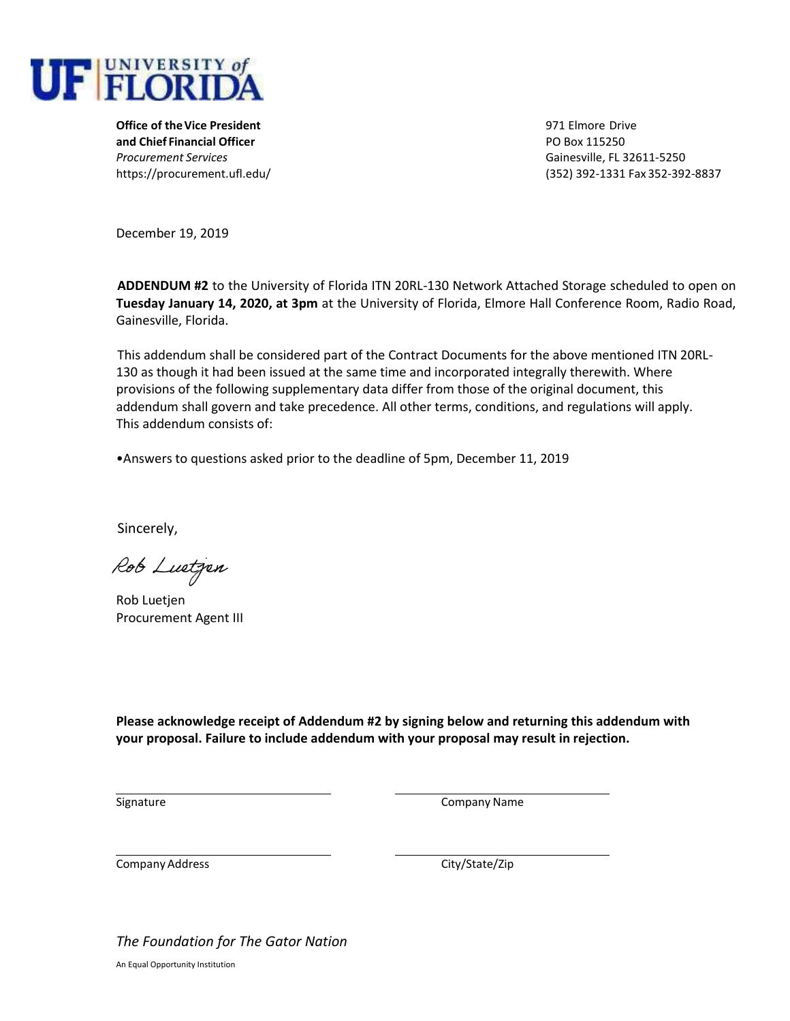

**Office of the Vice President** and the Vice President and the Vice President of the Vice President and the Vice President and the Vice President and the Vice President and the Vice President and the Vice President and the **and Chief Financial Officer PO Box 115250** *Procurement Services* Gainesville, FL 32611-5250

https://procurement.ufl.edu/ (352) 392-1331 Fax 352-392-8837

December 19, 2019

**ADDENDUM #2** to the University of Florida ITN 20RL-130 Network Attached Storage scheduled to open on **Tuesday January 14, 2020, at 3pm** at the University of Florida, Elmore Hall Conference Room, Radio Road, Gainesville, Florida.

This addendum shall be considered part of the Contract Documents for the above mentioned ITN 20RL-130 as though it had been issued at the same time and incorporated integrally therewith. Where provisions of the following supplementary data differ from those of the original document, this addendum shall govern and take precedence. All other terms, conditions, and regulations will apply. This addendum consists of:

•Answers to questions asked prior to the deadline of 5pm, December 11, 2019

Sincerely,

Rob Luetzen

Rob Luetjen Procurement Agent III

**Please acknowledge receipt of Addendum #2 by signing below and returning this addendum with your proposal. Failure to include addendum with your proposal may result in rejection.** 

Signature Company Name

Company Address **Company Address** City/State/Zip

*The Foundation for The Gator Nation*

An Equal Opportunity Institution